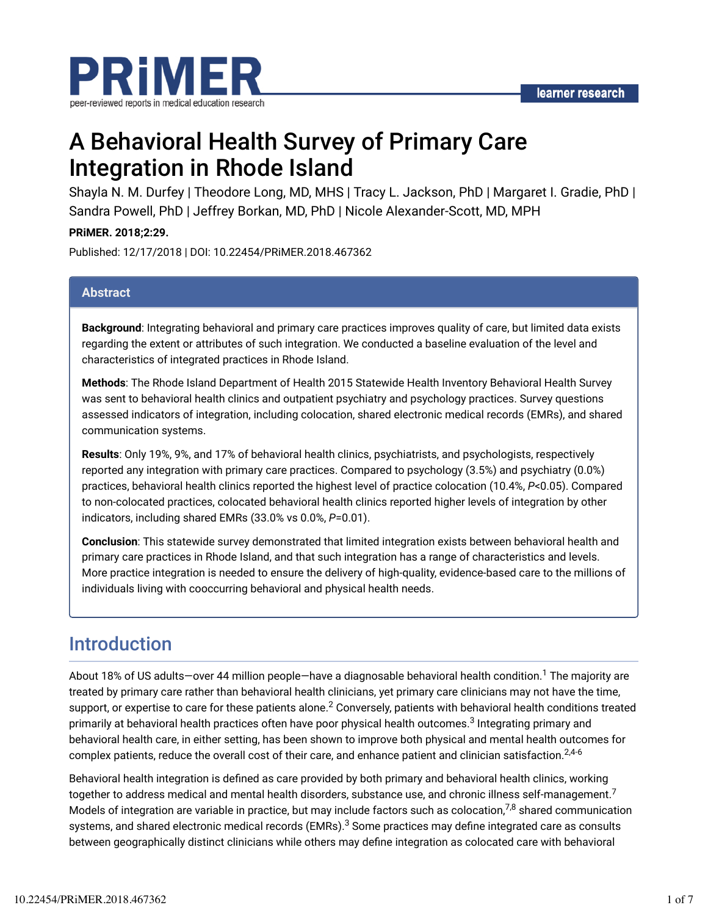

# A Behavioral Health Survey of Primary Care Integration in Rhode Island

Shayla N. M. Durfey | Theodore Long, MD, MHS | Tracy L. Jackson, PhD | Margaret I. Gradie, PhD | Sandra Powell, PhD | Jeffrey Borkan, MD, PhD | Nicole Alexander-Scott, MD, MPH

**PRiMER. 2018;2:29.**

Published: 12/17/2018 | DOI: 10.22454/PRiMER.2018.467362

#### **Abstract**

**Background**: Integrating behavioral and primary care practices improves quality of care, but limited data exists regarding the extent or attributes of such integration. We conducted a baseline evaluation of the level and characteristics of integrated practices in Rhode Island.

**Methods**: The Rhode Island Department of Health 2015 Statewide Health Inventory Behavioral Health Survey was sent to behavioral health clinics and outpatient psychiatry and psychology practices. Survey questions assessed indicators of integration, including colocation, shared electronic medical records (EMRs), and shared communication systems.

**Results**: Only 19%, 9%, and 17% of behavioral health clinics, psychiatrists, and psychologists, respectively reported any integration with primary care practices. Compared to psychology (3.5%) and psychiatry (0.0%) practices, behavioral health clinics reported the highest level of practice colocation (10.4%, *P*<0.05). Compared to non-colocated practices, colocated behavioral health clinics reported higher levels of integration by other indicators, including shared EMRs (33.0% vs 0.0%, *P*=0.01).

**Conclusion**: This statewide survey demonstrated that limited integration exists between behavioral health and primary care practices in Rhode Island, and that such integration has a range of characteristics and levels. More practice integration is needed to ensure the delivery of high-quality, evidence-based care to the millions of individuals living with cooccurring behavioral and physical health needs.

### Introduction

About 18% of US adults—over 44 million people—have a diagnosable behavioral health condition.<sup>1</sup> The majority are treated by primary care rather than behavioral health clinicians, yet primary care clinicians may not have the time, support, or expertise to care for these patients alone. $^2$  Conversely, patients with behavioral health conditions treated primarily at behavioral health practices often have poor physical health outcomes.<sup>3</sup> Integrating primary and behavioral health care, in either setting, has been shown to improve both physical and mental health outcomes for complex patients, reduce the overall cost of their care, and enhance patient and clinician satisfaction. $^{2,4\text{-}6}$ 

Behavioral health integration is defined as care provided by both primary and behavioral health clinics, working together to address medical and mental health disorders, substance use, and chronic illness self-management.<sup>7</sup> Models of integration are variable in practice, but may include factors such as colocation,<sup>7,8</sup> shared communication systems, and shared electronic medical records (EMRs). $^3$  Some practices may define integrated care as consults between geographically distinct clinicians while others may define integration as colocated care with behavioral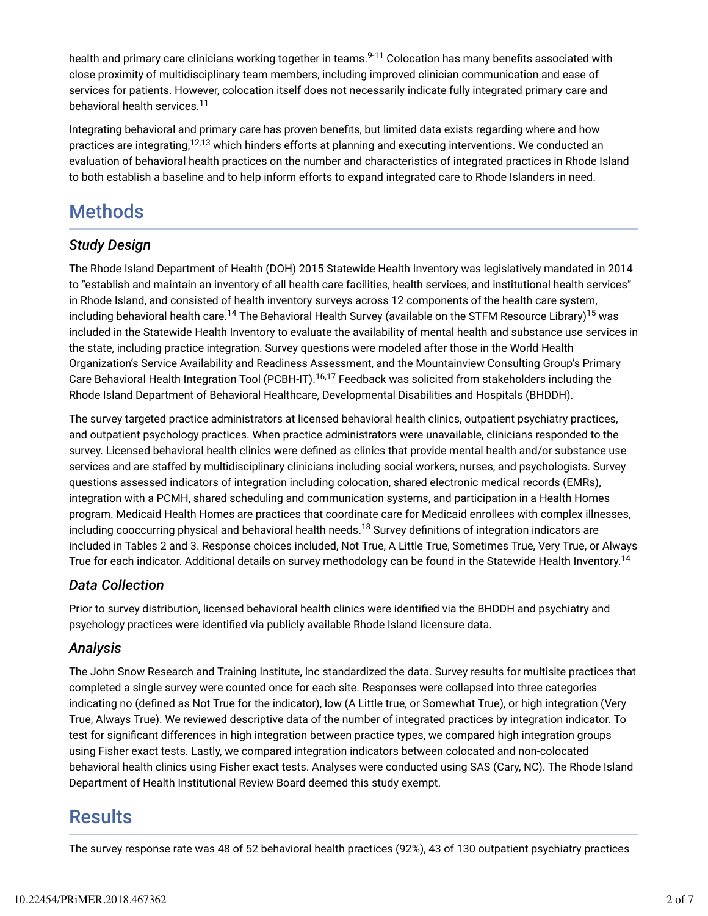health and primary care clinicians working together in teams.<sup>9-11</sup> Colocation has many benefits associated with close proximity of multidisciplinary team members, including improved clinician communication and ease of services for patients. However, colocation itself does not necessarily indicate fully integrated primary care and behavioral health services. 11

Integrating behavioral and primary care has proven benefits, but limited data exists regarding where and how practices are integrating,<sup>12,13</sup> which hinders efforts at planning and executing interventions. We conducted an evaluation of behavioral health practices on the number and characteristics of integrated practices in Rhode Island to both establish a baseline and to help inform efforts to expand integrated care to Rhode Islanders in need.

## **Methods**

### *Study Design*

The Rhode Island Department of Health (DOH) 2015 Statewide Health Inventory was legislatively mandated in 2014 to "establish and maintain an inventory of all health care facilities, health services, and institutional health services" in Rhode Island, and consisted of health inventory surveys across 12 components of the health care system, including behavioral health care.<sup>14</sup> The Behavioral Health Survey (available on the STFM Resource Library)<sup>15</sup> was included in the Statewide Health Inventory to evaluate the availability of mental health and substance use services in the state, including practice integration. Survey questions were modeled after those in the World Health Organization's Service Availability and Readiness Assessment, and the Mountainview Consulting Group's Primary Care Behavioral Health Integration Tool (PCBH-IT).<sup>16,17</sup> Feedback was solicited from stakeholders including the Rhode Island Department of Behavioral Healthcare, Developmental Disabilities and Hospitals (BHDDH).

The survey targeted practice administrators at licensed behavioral health clinics, outpatient psychiatry practices, and outpatient psychology practices. When practice administrators were unavailable, clinicians responded to the survey. Licensed behavioral health clinics were defined as clinics that provide mental health and/or substance use services and are staffed by multidisciplinary clinicians including social workers, nurses, and psychologists. Survey questions assessed indicators of integration including colocation, shared electronic medical records (EMRs), integration with a PCMH, shared scheduling and communication systems, and participation in a Health Homes program. Medicaid Health Homes are practices that coordinate care for Medicaid enrollees with complex illnesses, including cooccurring physical and behavioral health needs.<sup>18</sup> Survey definitions of integration indicators are included in Tables 2 and 3. Response choices included, Not True, A Little True, Sometimes True, Very True, or Always True for each indicator. Additional details on survey methodology can be found in the Statewide Health Inventory.<sup>14</sup>

#### *Data Collection*

Prior to survey distribution, licensed behavioral health clinics were identified via the BHDDH and psychiatry and psychology practices were identified via publicly available Rhode Island licensure data.

#### *Analysis*

The John Snow Research and Training Institute, Inc standardized the data. Survey results for multisite practices that completed a single survey were counted once for each site. Responses were collapsed into three categories indicating no (defined as Not True for the indicator), low (A Little true, or Somewhat True), or high integration (Very True, Always True). We reviewed descriptive data of the number of integrated practices by integration indicator. To test for significant differences in high integration between practice types, we compared high integration groups using Fisher exact tests. Lastly, we compared integration indicators between colocated and non-colocated behavioral health clinics using Fisher exact tests. Analyses were conducted using SAS (Cary, NC). The Rhode Island Department of Health Institutional Review Board deemed this study exempt.

### **Results**

The survey response rate was 48 of 52 behavioral health practices (92%), 43 of 130 outpatient psychiatry practices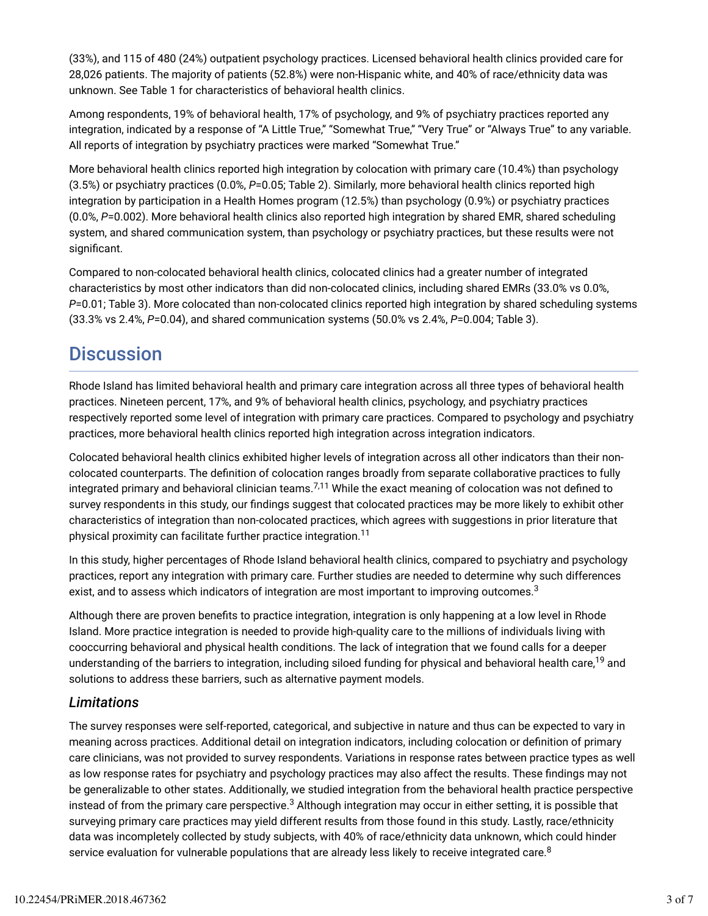(33%), and 115 of 480 (24%) outpatient psychology practices. Licensed behavioral health clinics provided care for 28,026 patients. The majority of patients (52.8%) were non-Hispanic white, and 40% of race/ethnicity data was unknown. See Table 1 for characteristics of behavioral health clinics.

Among respondents, 19% of behavioral health, 17% of psychology, and 9% of psychiatry practices reported any integration, indicated by a response of "A Little True," "Somewhat True," "Very True" or "Always True" to any variable. All reports of integration by psychiatry practices were marked "Somewhat True."

More behavioral health clinics reported high integration by colocation with primary care (10.4%) than psychology (3.5%) or psychiatry practices (0.0%, *P*=0.05; Table 2). Similarly, more behavioral health clinics reported high integration by participation in a Health Homes program (12.5%) than psychology (0.9%) or psychiatry practices (0.0%, *P*=0.002). More behavioral health clinics also reported high integration by shared EMR, shared scheduling system, and shared communication system, than psychology or psychiatry practices, but these results were not significant.

Compared to non-colocated behavioral health clinics, colocated clinics had a greater number of integrated characteristics by most other indicators than did non-colocated clinics, including shared EMRs (33.0% vs 0.0%, *P*=0.01; Table 3). More colocated than non-colocated clinics reported high integration by shared scheduling systems (33.3% vs 2.4%, *P*=0.04), and shared communication systems (50.0% vs 2.4%, *P*=0.004; Table 3).

### **Discussion**

Rhode Island has limited behavioral health and primary care integration across all three types of behavioral health practices. Nineteen percent, 17%, and 9% of behavioral health clinics, psychology, and psychiatry practices respectively reported some level of integration with primary care practices. Compared to psychology and psychiatry practices, more behavioral health clinics reported high integration across integration indicators.

Colocated behavioral health clinics exhibited higher levels of integration across all other indicators than their noncolocated counterparts. The definition of colocation ranges broadly from separate collaborative practices to fully integrated primary and behavioral clinician teams. $^{7,11}$  While the exact meaning of colocation was not defined to survey respondents in this study, our findings suggest that colocated practices may be more likely to exhibit other characteristics of integration than non-colocated practices, which agrees with suggestions in prior literature that physical proximity can facilitate further practice integration.<sup>11</sup>

In this study, higher percentages of Rhode Island behavioral health clinics, compared to psychiatry and psychology practices, report any integration with primary care. Further studies are needed to determine why such differences exist, and to assess which indicators of integration are most important to improving outcomes. $^3$ 

Although there are proven benefits to practice integration, integration is only happening at a low level in Rhode Island. More practice integration is needed to provide high-quality care to the millions of individuals living with cooccurring behavioral and physical health conditions. The lack of integration that we found calls for a deeper understanding of the barriers to integration, including siloed funding for physical and behavioral health care,<sup>19</sup> and solutions to address these barriers, such as alternative payment models.

#### *Limitations*

The survey responses were self-reported, categorical, and subjective in nature and thus can be expected to vary in meaning across practices. Additional detail on integration indicators, including colocation or definition of primary care clinicians, was not provided to survey respondents. Variations in response rates between practice types as well as low response rates for psychiatry and psychology practices may also affect the results. These findings may not be generalizable to other states. Additionally, we studied integration from the behavioral health practice perspective instead of from the primary care perspective. $^3$  Although integration may occur in either setting, it is possible that surveying primary care practices may yield different results from those found in this study. Lastly, race/ethnicity data was incompletely collected by study subjects, with 40% of race/ethnicity data unknown, which could hinder service evaluation for vulnerable populations that are already less likely to receive integrated care. $^8$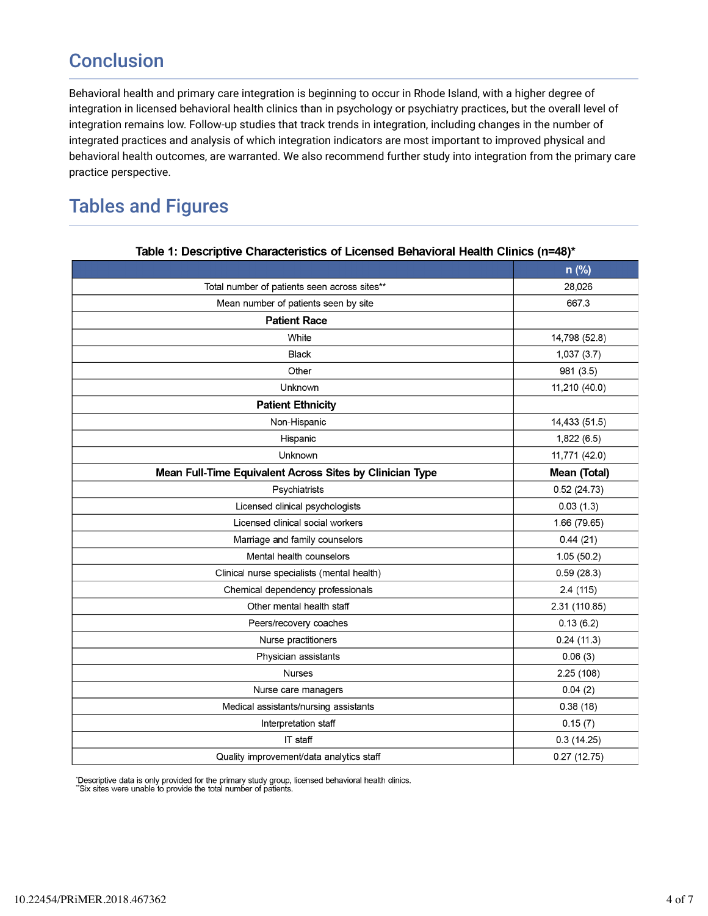## **Conclusion**

Behavioral health and primary care integration is beginning to occur in Rhode Island, with a higher degree of integration in licensed behavioral health clinics than in psychology or psychiatry practices, but the overall level of integration remains low. Follow-up studies that track trends in integration, including changes in the number of integrated practices and analysis of which integration indicators are most important to improved physical and behavioral health outcomes, are warranted. We also recommend further study into integration from the primary care practice perspective.

### Tables and Figures

|                                                          | `             |
|----------------------------------------------------------|---------------|
|                                                          | n (%)         |
| Total number of patients seen across sites**             | 28,026        |
| Mean number of patients seen by site                     | 667.3         |
| <b>Patient Race</b>                                      |               |
| White                                                    | 14,798 (52.8) |
| <b>Black</b>                                             | 1,037(3.7)    |
| Other                                                    | 981 (3.5)     |
| Unknown                                                  | 11,210 (40.0) |
| <b>Patient Ethnicity</b>                                 |               |
| Non-Hispanic                                             | 14,433 (51.5) |
| Hispanic                                                 | 1,822(6.5)    |
| Unknown                                                  | 11,771 (42.0) |
| Mean Full-Time Equivalent Across Sites by Clinician Type | Mean (Total)  |
| Psychiatrists                                            | 0.52(24.73)   |
| Licensed clinical psychologists                          | 0.03(1.3)     |
| Licensed clinical social workers                         | 1.66 (79.65)  |
| Marriage and family counselors                           | 0.44(21)      |
| Mental health counselors                                 | 1.05(50.2)    |
| Clinical nurse specialists (mental health)               | 0.59(28.3)    |
| Chemical dependency professionals                        | 2.4 (115)     |
| Other mental health staff                                | 2.31 (110.85) |
| Peers/recovery coaches                                   | 0.13(6.2)     |
| Nurse practitioners                                      | 0.24(11.3)    |
| Physician assistants                                     | 0.06(3)       |
| <b>Nurses</b>                                            | 2.25 (108)    |
| Nurse care managers                                      | 0.04(2)       |
| Medical assistants/nursing assistants                    | 0.38(18)      |
| Interpretation staff                                     | 0.15(7)       |
| IT staff                                                 | 0.3(14.25)    |
| Quality improvement/data analytics staff                 | 0.27(12.75)   |

#### Table 1: Descriptive Characteristics of Licensed Behavioral Health Clinics (n=48)\*

'Descriptive data is only provided for the primary study group, licensed behavioral health clinics.<br>"Six sites were unable to provide the total number of patients.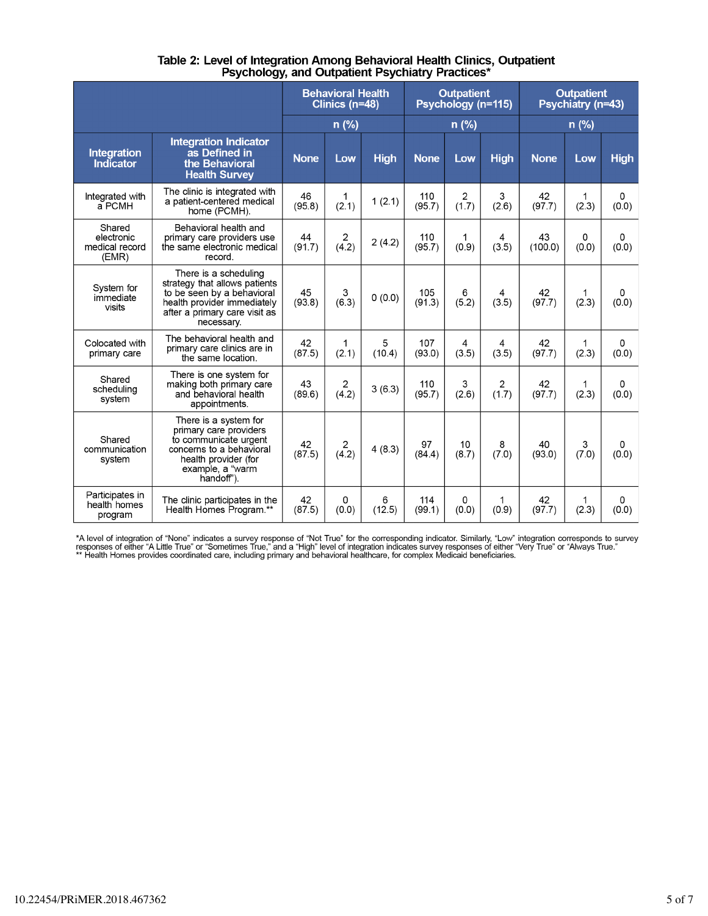|                                                 |                                                                                                                                                                    | <b>Behavioral Health</b><br>Clinics (n=48) |                         | <b>Outpatient</b><br>Psychology (n=115) |               | <b>Outpatient</b><br>Psychiatry (n=43) |             |               |            |             |
|-------------------------------------------------|--------------------------------------------------------------------------------------------------------------------------------------------------------------------|--------------------------------------------|-------------------------|-----------------------------------------|---------------|----------------------------------------|-------------|---------------|------------|-------------|
|                                                 |                                                                                                                                                                    | $n(\%)$<br>$n$ (%)                         |                         | $n$ (%)                                 |               |                                        |             |               |            |             |
| <b>Integration</b><br>Indicator                 | <b>Integration Indicator</b><br>as Defined in<br>the Behavioral<br><b>Health Survey</b>                                                                            | <b>None</b>                                | Low                     | <b>High</b>                             | <b>None</b>   | Low                                    | <b>High</b> | <b>None</b>   | Low        | <b>High</b> |
| Integrated with<br>a PCMH                       | The clinic is integrated with<br>a patient-centered medical<br>home (PCMH).                                                                                        | 46<br>(95.8)                               | 1<br>(2.1)              | 1(2.1)                                  | 110<br>(95.7) | $\overline{2}$<br>(1.7)                | 3<br>(2.6)  | 42<br>(97.7)  | 1<br>(2.3) | 0<br>(0.0)  |
| Shared<br>electronic<br>medical record<br>(EMR) | Behavioral health and<br>primary care providers use<br>the same electronic medical<br>record.                                                                      | 44<br>(91.7)                               | 2<br>(4.2)              | 2(4.2)                                  | 110<br>(95.7) | 1<br>(0.9)                             | 4<br>(3.5)  | 43<br>(100.0) | 0<br>(0.0) | 0<br>(0.0)  |
| System for<br>immediate<br>visits               | There is a scheduling<br>strategy that allows patients<br>to be seen by a behavioral<br>health provider immediately<br>after a primary care visit as<br>necessary. | 45<br>(93.8)                               | 3<br>(6.3)              | 0(0.0)                                  | 105<br>(91.3) | 6<br>(5.2)                             | 4<br>(3.5)  | 42<br>(97.7)  | 1<br>(2.3) | 0<br>(0.0)  |
| Colocated with<br>primary care                  | The behavioral health and<br>primary care clinics are in<br>the same location.                                                                                     | 42<br>(87.5)                               | 1<br>(2.1)              | 5<br>(10.4)                             | 107<br>(93.0) | 4<br>(3.5)                             | 4<br>(3.5)  | 42<br>(97.7)  | 1<br>(2.3) | 0<br>(0.0)  |
| Shared<br>scheduling<br>system                  | There is one system for<br>making both primary care<br>and behavioral health<br>appointments.                                                                      | 43<br>(89.6)                               | 2<br>(4.2)              | 3(6.3)                                  | 110<br>(95.7) | 3<br>(2.6)                             | 2<br>(1.7)  | 42<br>(97.7)  | 1<br>(2.3) | 0<br>(0.0)  |
| Shared<br>communication<br>system               | There is a system for<br>primary care providers<br>to communicate urgent<br>concerns to a behavioral<br>health provider (for<br>example, a "warm<br>handoff").     | 42<br>(87.5)                               | 2<br>$(\overline{4.2})$ | 4(8.3)                                  | 97<br>(84.4)  | 10<br>(8.7)                            | 8<br>(7.0)  | 40<br>(93.0)  | 3<br>(7.0) | 0<br>(0.0)  |
| Participates in<br>health homes<br>program      | The clinic participates in the<br>Health Homes Program.**                                                                                                          | 42<br>(87.5)                               | 0<br>(0.0)              | 6<br>(12.5)                             | 114<br>(99.1) | 0<br>(0.0)                             | 1<br>(0.9)  | 42<br>(97.7)  | 1<br>(2.3) | 0<br>(0.0)  |

# Table 2: Level of Integration Among Behavioral Health Clinics, Outpatient<br>Psychology, and Outpatient Psychiatry Practices\*

\*A level of integration of "None" indicates a survey response of "Not True" for the corresponding indicator. Similarly, "Low" integration corresponds to survey<br>responses of either "A Little True" or "Sometimes True," and a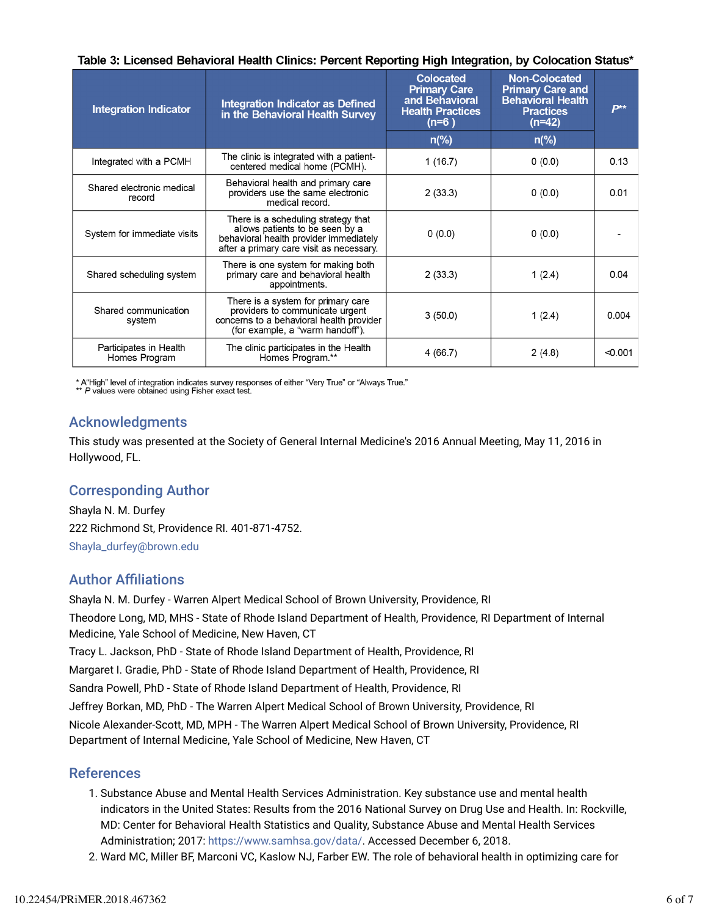Table 3: Licensed Behavioral Health Clinics: Percent Reporting High Integration, by Colocation Status\*

| <b>Integration Indicator</b>            | <b>Integration Indicator as Defined</b><br>in the Behavioral Health Survey                                                                                   | <b>Colocated</b><br><b>Primary Care</b><br>and Behavioral<br><b>Health Practices</b><br>$(n=6)$<br>$n\frac{9}{6}$ | <b>Non-Colocated</b><br><b>Primary Care and</b><br><b>Behavioral Health</b><br><b>Practices</b><br>$(n=42)$<br>$n\frac{9}{6}$ | $P^{**}$ |
|-----------------------------------------|--------------------------------------------------------------------------------------------------------------------------------------------------------------|-------------------------------------------------------------------------------------------------------------------|-------------------------------------------------------------------------------------------------------------------------------|----------|
|                                         | The clinic is integrated with a patient-                                                                                                                     |                                                                                                                   |                                                                                                                               |          |
| Integrated with a PCMH                  | centered medical home (PCMH).                                                                                                                                | 1(16.7)                                                                                                           | 0(0.0)                                                                                                                        | 0.13     |
| Shared electronic medical<br>record     | Behavioral health and primary care<br>providers use the same electronic<br>medical record.                                                                   | 2(33.3)                                                                                                           | 0(0.0)                                                                                                                        | 0.01     |
| System for immediate visits             | There is a scheduling strategy that<br>allows patients to be seen by a<br>behavioral health provider immediately<br>after a primary care visit as necessarv. | 0(0.0)                                                                                                            | 0(0.0)                                                                                                                        |          |
| Shared scheduling system                | There is one system for making both<br>primary care and behavioral health<br>appointments.                                                                   | 2(33.3)                                                                                                           | 1(2.4)                                                                                                                        | 0.04     |
| Shared communication<br>system          | There is a system for primary care<br>providers to communicate urgent<br>concerns to a behavioral health provider<br>(for example, a "warm handoff").        | 3(50.0)                                                                                                           | 1(2.4)                                                                                                                        | 0.004    |
| Participates in Health<br>Homes Program | The clinic participates in the Health<br>Homes Program.**                                                                                                    | 4(66.7)                                                                                                           | 2(4.8)                                                                                                                        | < 0.001  |

\* A"High" level of integration indicates survey responses of either "Very True" or "Always True."<br>\*\* P values were obtained using Fisher exact test.

#### Acknowledgments

This study was presented at the Society of General Internal Medicine's 2016 Annual Meeting, May 11, 2016 in Hollywood, FL.

### Corresponding Author

Shayla N. M. Durfey 222 Richmond St, Providence RI. 401-871-4752. Shayla\_durfey@brown.edu

#### **Author Affiliations**

Shayla N. M. Durfey - Warren Alpert Medical School of Brown University, Providence, RI Theodore Long, MD, MHS - State of Rhode Island Department of Health, Providence, RI Department of Internal Medicine, Yale School of Medicine, New Haven, CT Tracy L. Jackson, PhD - State of Rhode Island Department of Health, Providence, RI Margaret I. Gradie, PhD - State of Rhode Island Department of Health, Providence, RI Sandra Powell, PhD - State of Rhode Island Department of Health, Providence, RI Jeffrey Borkan, MD, PhD - The Warren Alpert Medical School of Brown University, Providence, RI Nicole Alexander-Scott, MD, MPH - The Warren Alpert Medical School of Brown University, Providence, RI Department of Internal Medicine, Yale School of Medicine, New Haven, CT

#### References

- 1. Substance Abuse and Mental Health Services Administration. Key substance use and mental health indicators in the United States: Results from the 2016 National Survey on Drug Use and Health. In: Rockville, MD: Center for Behavioral Health Statistics and Quality, Substance Abuse and Mental Health Services Administration; 2017: https://www.samhsa.gov/data/. Accessed December 6, 2018.
- 2. Ward MC, Miller BF, Marconi VC, Kaslow NJ, Farber EW. The role of behavioral health in optimizing care for